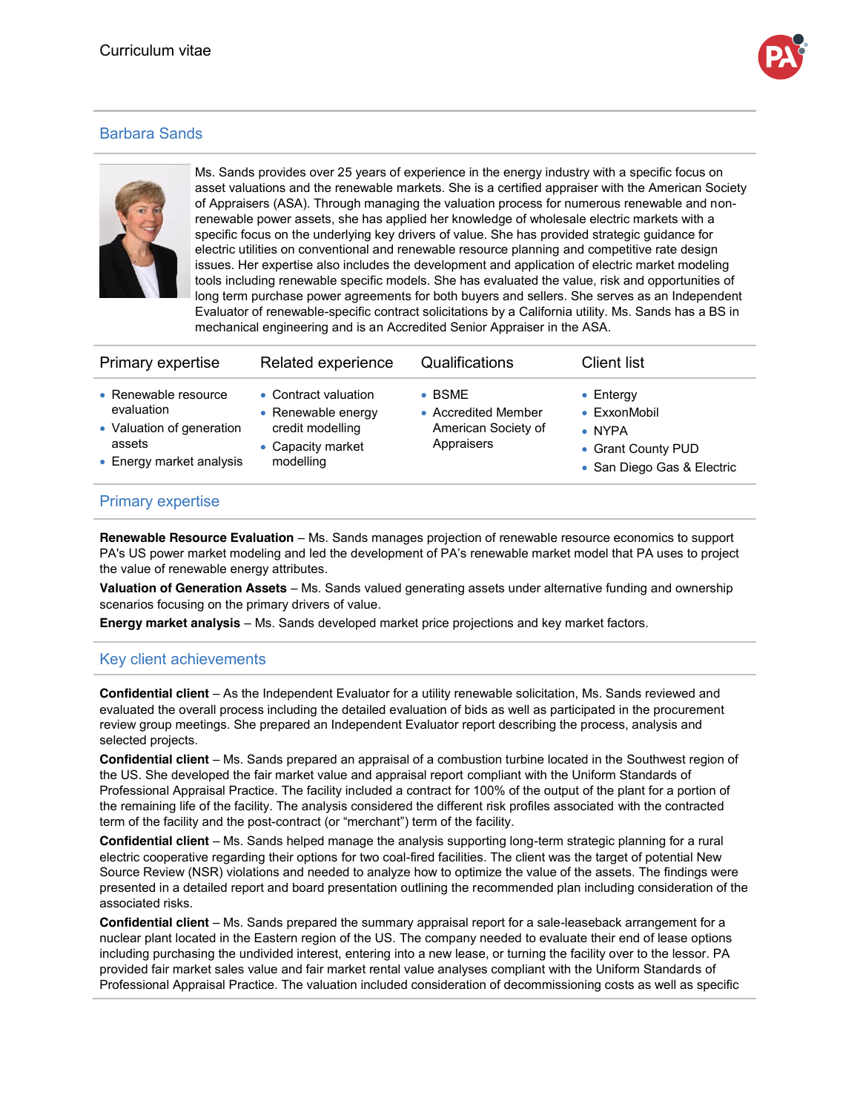

## Barbara Sands



Ms. Sands provides over 25 years of experience in the energy industry with a specific focus on asset valuations and the renewable markets. She is a certified appraiser with the American Society of Appraisers (ASA). Through managing the valuation process for numerous renewable and nonrenewable power assets, she has applied her knowledge of wholesale electric markets with a specific focus on the underlying key drivers of value. She has provided strategic guidance for electric utilities on conventional and renewable resource planning and competitive rate design issues. Her expertise also includes the development and application of electric market modeling tools including renewable specific models. She has evaluated the value, risk and opportunities of long term purchase power agreements for both buyers and sellers. She serves as an Independent Evaluator of renewable-specific contract solicitations by a California utility. Ms. Sands has a BS in mechanical engineering and is an Accredited Senior Appraiser in the ASA.

| Primary expertise                                                                                     | Related experience                                                                               | Qualifications                                                             | <b>Client list</b>                                                                                      |
|-------------------------------------------------------------------------------------------------------|--------------------------------------------------------------------------------------------------|----------------------------------------------------------------------------|---------------------------------------------------------------------------------------------------------|
| • Renewable resource<br>evaluation<br>• Valuation of generation<br>assets<br>• Energy market analysis | • Contract valuation<br>• Renewable energy<br>credit modelling<br>• Capacity market<br>modelling | $\bullet$ BSMF<br>• Accredited Member<br>American Society of<br>Appraisers | $\bullet$ Entergy<br>• ExxonMobil<br>$\bullet$ NYPA<br>• Grant County PUD<br>• San Diego Gas & Electric |

## Primary expertise

**Renewable Resource Evaluation** – Ms. Sands manages projection of renewable resource economics to support PA's US power market modeling and led the development of PA's renewable market model that PA uses to project the value of renewable energy attributes.

**Valuation of Generation Assets** – Ms. Sands valued generating assets under alternative funding and ownership scenarios focusing on the primary drivers of value.

**Energy market analysis** – Ms. Sands developed market price projections and key market factors.

## Key client achievements

**Confidential client** – As the Independent Evaluator for a utility renewable solicitation, Ms. Sands reviewed and evaluated the overall process including the detailed evaluation of bids as well as participated in the procurement review group meetings. She prepared an Independent Evaluator report describing the process, analysis and selected projects.

**Confidential client** – Ms. Sands prepared an appraisal of a combustion turbine located in the Southwest region of the US. She developed the fair market value and appraisal report compliant with the Uniform Standards of Professional Appraisal Practice. The facility included a contract for 100% of the output of the plant for a portion of the remaining life of the facility. The analysis considered the different risk profiles associated with the contracted term of the facility and the post-contract (or "merchant") term of the facility.

**Confidential client** – Ms. Sands helped manage the analysis supporting long-term strategic planning for a rural electric cooperative regarding their options for two coal-fired facilities. The client was the target of potential New Source Review (NSR) violations and needed to analyze how to optimize the value of the assets. The findings were presented in a detailed report and board presentation outlining the recommended plan including consideration of the associated risks.

**Confidential client** – Ms. Sands prepared the summary appraisal report for a sale-leaseback arrangement for a nuclear plant located in the Eastern region of the US. The company needed to evaluate their end of lease options including purchasing the undivided interest, entering into a new lease, or turning the facility over to the lessor. PA provided fair market sales value and fair market rental value analyses compliant with the Uniform Standards of Professional Appraisal Practice. The valuation included consideration of decommissioning costs as well as specific